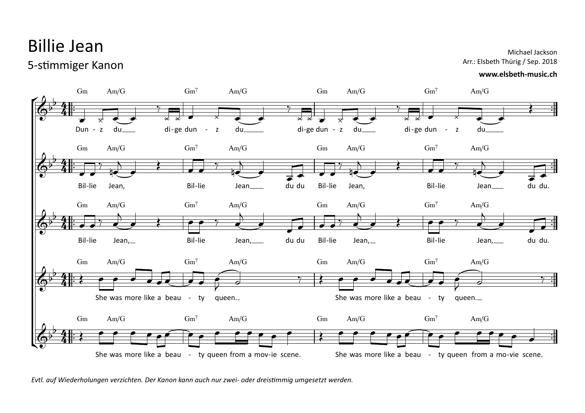# Billie Jean 5-stimmiger Kanon



*Evtl. auf Wiederholungen verzichten. Der Kanon kann auch nur zwei- oder dreismmig umgesetzt werden.*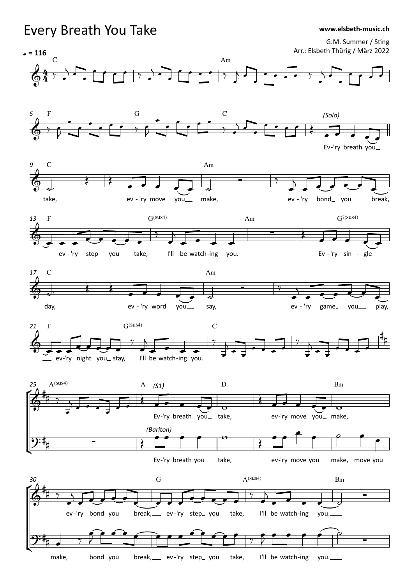## Every Breath You Take **Every Breath You Take**

G.M. Summer / Sting













Ev-'ry breath you take, ev-'ry move you make, move you

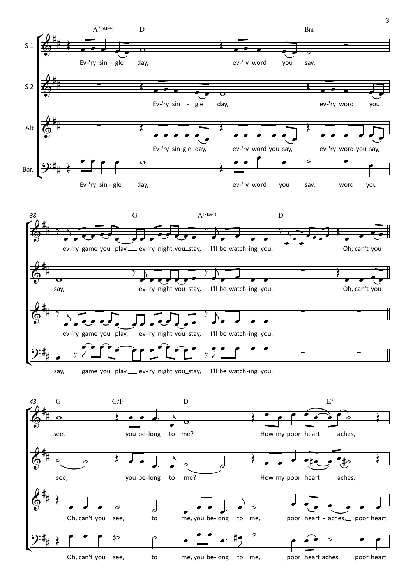

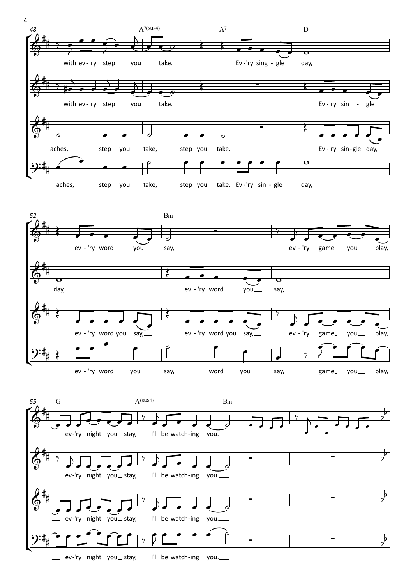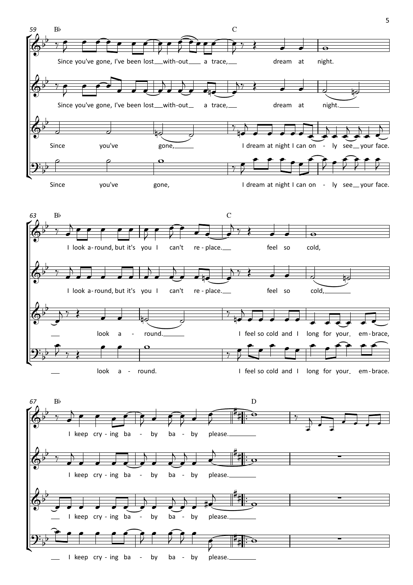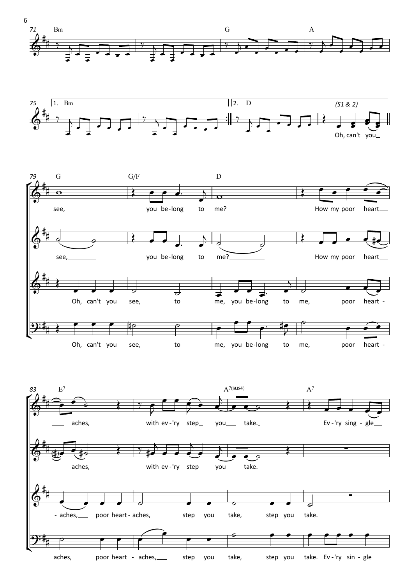





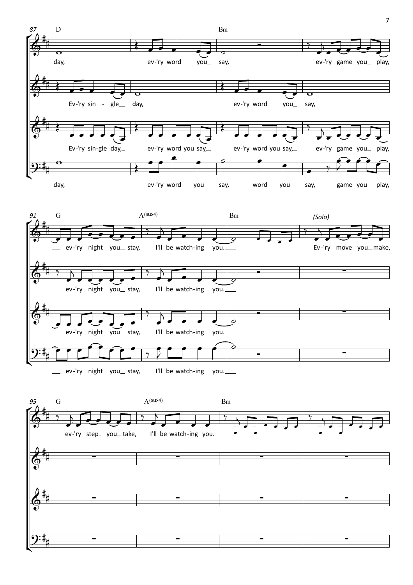





7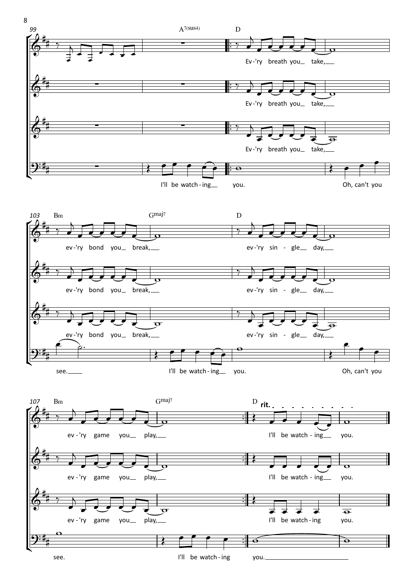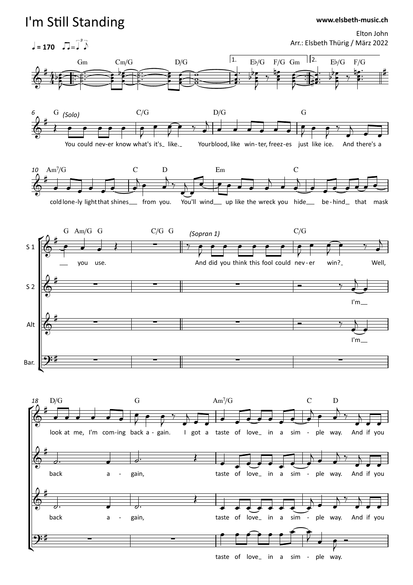

taste of love\_ in a sim - ple way.

www.elsbeth-music.ch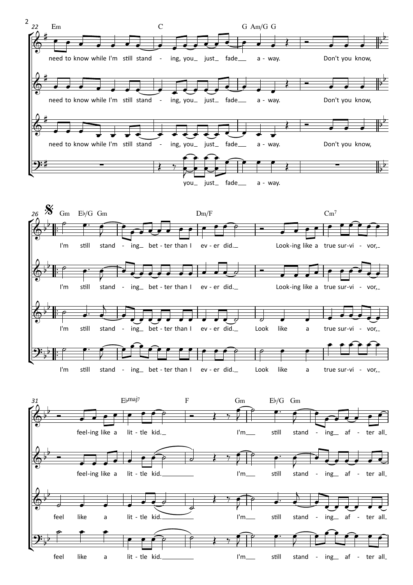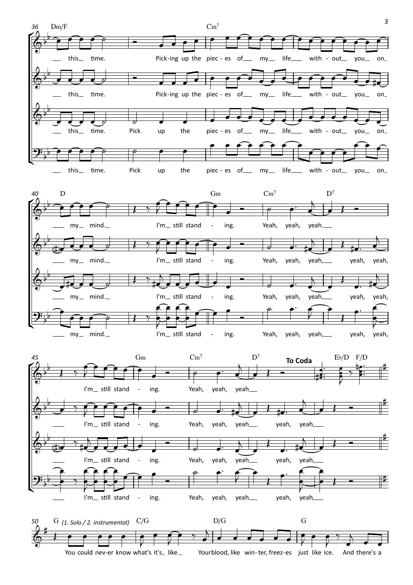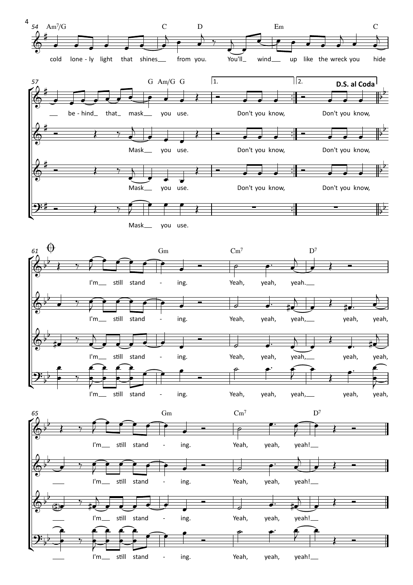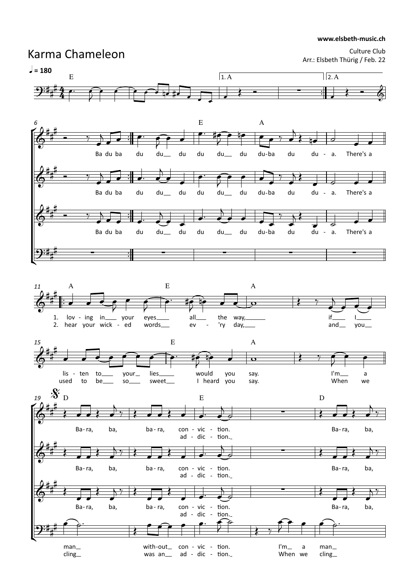### www.elsbeth-music.ch



## Culture Club



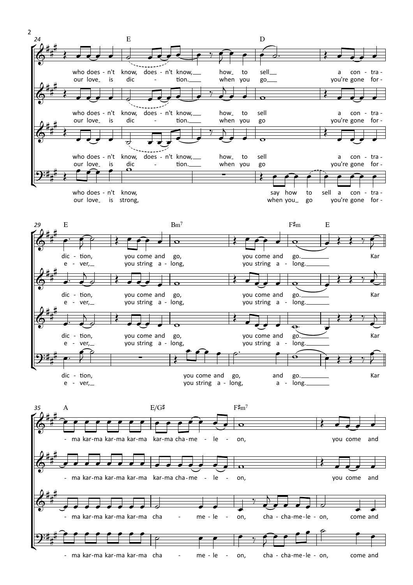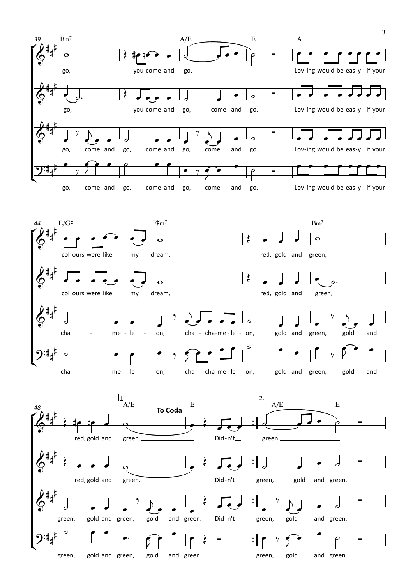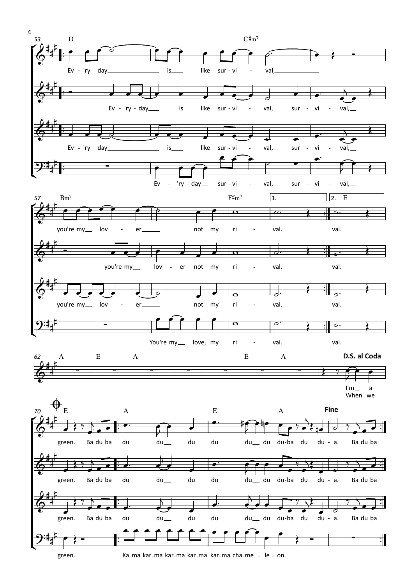



green. Ka-ma kar-ma kar-ma kar-ma kar-ma cha-me - le - on.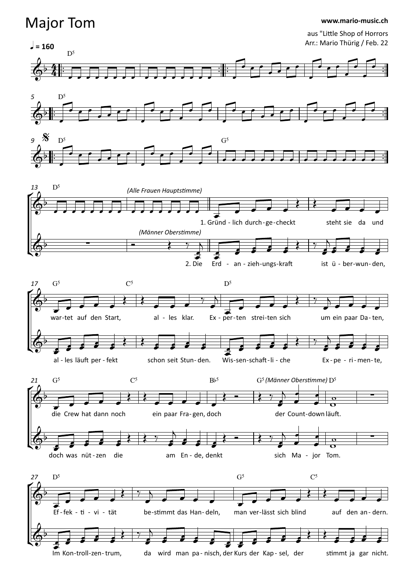# **Major Tom**

### www.mario-music.ch

aus "Little Shop of Horrors Arr.: Mario Thürig / Feb. 22













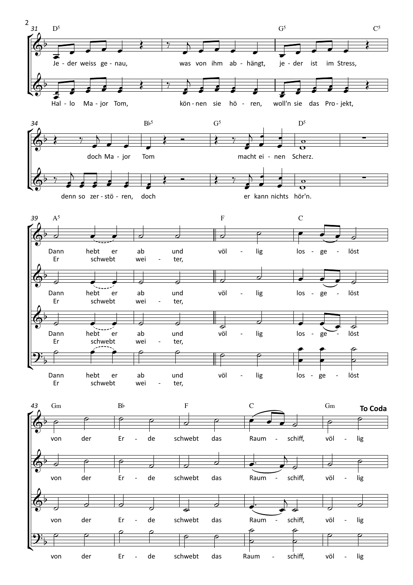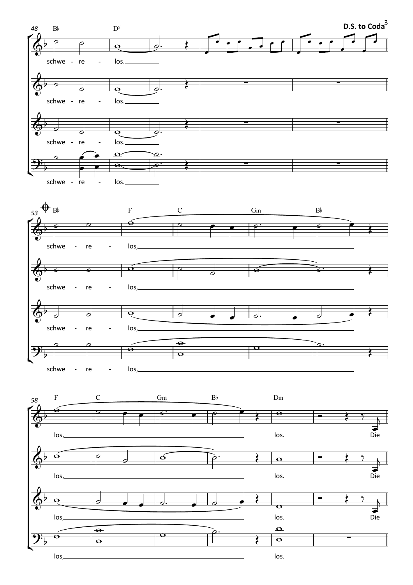



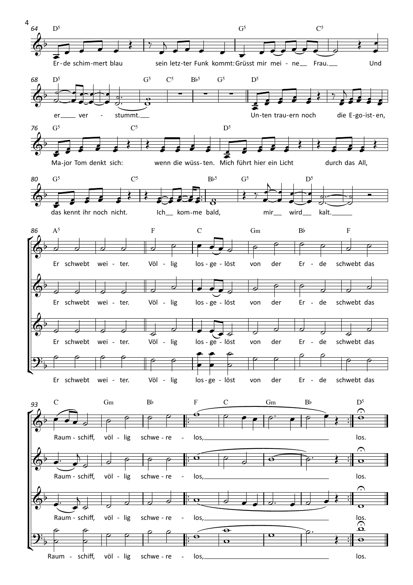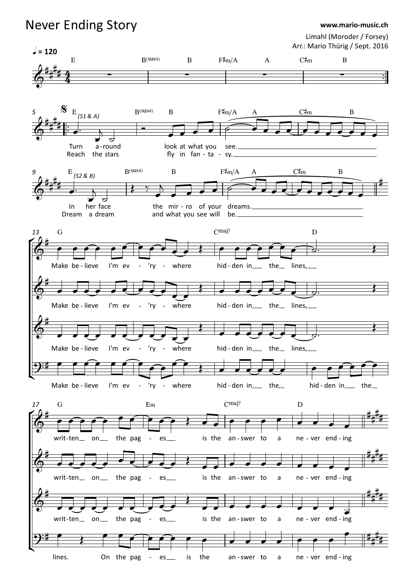### **Never Ending Story**

 $\mathbf E$ 

Turn

In

 $\overline{G}$ 

 $= 120$ 

5

9

13

17

 $\overline{G}$ 

www.mario-music.ch



writ-ten\_ on\_ ne - ver end - ing writ-ten\_ on\_ the pag  $\ddot{\phantom{a}}$ es\_ is the an-swer to a lines. On the pag  $-$  es $$ is the an-swer to  $\mathsf{a}$ ne - ver end - ing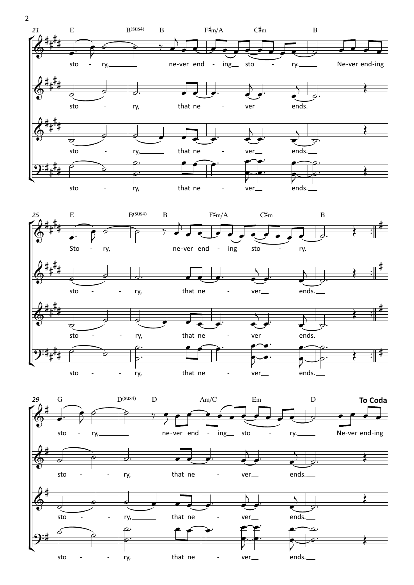

sto  $\overline{a}$ ry, that ne  $\overline{a}$ 

 $\Box$ 

ver\_\_

 $ends.$ 

 $\overline{2}$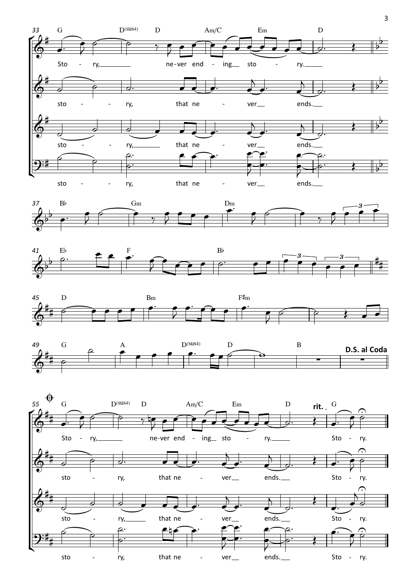









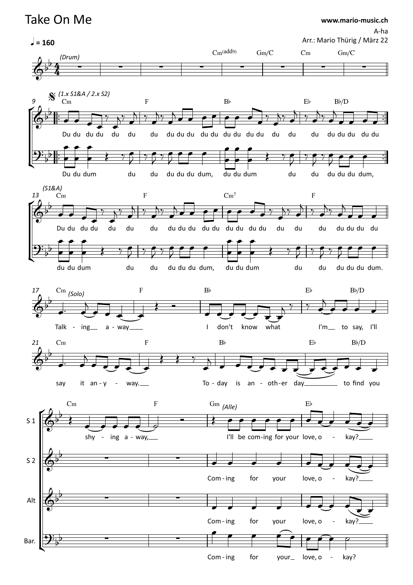™ ™

™ ™

 $\left( \frac{1}{2} \right)$  $\frac{1}{2}$  $\overline{\mathbf{r}}$  $\frac{1}{2}$  $\left( \frac{\partial}{\partial x} + \frac{\partial}{\partial y} \right)$  $\frac{1}{2}$  $\text{Cm}^{(\text{add9})}$  Gm/C Cm Gm/C  $= 160$ ™ ™ ™ ™ Du du C‹ *9 (1.x S1&A / 2.x S2)* \$ du du du du du F du du du du du du du du du du du du  $B<sub>b</sub>$  $E^{\flat}$ du du du B¨/D du du du Du du dum du du du du du dum, du du dum du du du du du dum, Du du  $\overline{C}$ <sub>m</sub> du du du du du F du du du du du du du du du du du du  $Cm^7$ F du du du du du *13* du du dum du du du du du dum, du du dum du du du du du dum. Talk - $\rm Cm$  (Solo)  $ing$  a - way. F I don't B<sub>b</sub> know what  $E^{\flat}$ I'm<sub>-</sub> to say, Bb/D I'll *17* say C<sub>m</sub>  $it$  an -  $y$  - way. F To - day  $is$ B¨ an - oth-er day  $E^{\flat}$ to find you B¨/D *21* S 1 S 2 Alt Bar.  $Cm$ shy - ing a - way, F  $Gm$  *(Alle)* I'll be com-ing for your love, o  $E<sub>b</sub>$  $-$  kay? Com-ing for your love, o - kay?\_ Com-ing for your love, o - kay? Com-ing for your\_ love, o - kay?  $\oint_{\Theta} \frac{4}{4}$  - $\frac{b}{4}$ b *(Drum)*∑ ∑ ∑ ∑ ∑ ∑ ∑ ∑ Take On Me **www.mario-music.ch** A-ha Arr.: Mario Thürig / März 22  $\phi^{\flat}$  $\overline{\mathbf{p}_{\parallel \cdot \parallel} \cdot \mathbf{p}_{\parallel \perp}}$  $9\frac{1}{6}$  $\frac{1}{2}$  $\phi^{\flat}$  $\overline{\phantom{0}}$ *(S1&A)*  $2\frac{1}{2}$  $\frac{1}{2}$  $\phi^{\flat}$ . b *(Solo)*  $\phi^{\flat}$ .  $\overline{\phantom{0}}$  $\phi^{\flat}$  $\overline{\phantom{a}}$  $\bigoplus^p$  $\overline{z}$  $\bigoplus^p$  $\overline{z}$  $\mathbf{\mathcal{P}}^{\mathbf{\cdot}}$  by b  $\overline{z}$   $\overline{z}$   $\overline{z}$   $\overline{z}$   $\overline{z}$   $\overline{z}$   $\overline{z}$   $\overline{z}$   $\overline{z}$   $\overline{z}$   $\overline{z}$   $\overline{z}$   $\overline{z}$   $\overline{z}$   $\overline{z}$   $\overline{z}$   $\overline{z}$   $\overline{z}$   $\overline{z}$   $\overline{z}$   $\overline{z}$   $\overline{z}$   $\overline{z}$   $\overline{z}$   $\over$  $\frac{1}{\sqrt{2}}$  $7<sup>1</sup>$ e<sup>r</sup>  $y \rightarrow y$  $\sum_{i=1}^{n}$  $y \rightarrow e$  $\sqrt{1 + \left(\frac{1}{2} + \frac{1}{2}\right)^2 + \left(\frac{1}{2} + \frac{1}{2}\right)^2}$  $\frac{17}{2}$  $7 \frac{1}{2}$  $\frac{17}{2}$  $y \rightarrow y$  $\frac{1}{2}$   $\frac{1}{2}$   $\frac{1}{2}$  $\mathcal{S}_{\mathcal{F}}$   $\mathcal{S}_{\mathcal{F}}$   $\mathcal{S}_{\mathcal{F}}$  $\overline{)}$ œ œ œ œ  $\bullet$   $\bullet$   $\bullet$ œ  $\bullet$   $\bullet$  $\bullet$   $\overrightarrow{\cdot}$  $\bullet$ œ Œ ‰ œ  $777$  $7575$  $777$  $99999$  $\sum_{i=1}^{n}$  $\bullet$   $\bullet$   $\bullet$   $\bullet$   $\bullet$  $\overline{\phantom{a}}$  $\overline{\bullet}$   $\overline{\bullet}$   $\overline{\bullet}$  $\bullet$   $\bullet$  $\bullet$   $\bullet$  $\bullet$  $\bullet$   $\leftarrow$   $\frac{1}{2}$  $\frac{1}{2}$   $\frac{9}{2}$   $\frac{1}{2}$   $\frac{1}{2}$   $\frac{1}{2}$  $717$  $797600$  $777$  $\frac{1}{2}$  e e e  $\frac{1}{2}$   $\frac{1}{2}$   $\frac{1}{2}$   $\frac{1}{2}$   $\frac{1}{2}$   $\frac{1}{2}$   $\frac{1}{2}$   $\frac{1}{2}$   $\frac{1}{2}$   $\frac{1}{2}$   $\frac{1}{2}$   $\frac{1}{2}$   $\frac{1}{2}$   $\frac{1}{2}$   $\frac{1}{2}$   $\frac{1}{2}$   $\frac{1}{2}$   $\frac{1}{2}$   $\frac{1}{2}$   $\frac{1}{2}$   $\frac{1}{2}$   $\frac{1}{2}$   $\frac{1}{2}$  $7 N^2$  $e^{\frac{1}{2}t}$  $y \rightarrow y$  $\frac{1}{2}$  %  $y \rightarrow e$ )  $\overline{\phantom{a}}$   $\overline{e}$   $\overline{e}$   $\overline{e}$   $\overline{e}$   $\overline{e}$   $\overline{e}$   $\overline{e}$   $\overline{e}$   $\overline{e}$   $\overline{e}$   $\overline{e}$   $\overline{e}$   $\overline{e}$   $\overline{e}$   $\overline{e}$   $\overline{e}$   $\overline{e}$   $\overline{e}$   $\overline{e}$   $\overline{e}$   $\overline{e}$   $\overline{e}$   $\overline{e}$   $\frac{1}{2}$  $\frac{17}{2}$  $y \rightarrow y$  $\frac{1}{2}$  %  $\frac{1}{2}$   $\frac{1}{2}$   $\frac{1}{2}$  $\overline{y}$ œ œ œ  $\bullet \bullet \bullet$ œ  $\bullet$   $\bullet$  $\qquad \qquad$  $\bullet$  $\bullet$   $\left. \frac{1}{2}\right.$   $\left. \frac{1}{2}\right.$   $\left. \frac{1}{2}\right.$   $\left. \frac{1}{2}\right.$   $\left. \frac{1}{2}\right.$  $7\frac{1}{2}$  $9999$  $777$ ‰ œ  $\sum_{i=1}^{n}$  $e e$   $e$  $\bullet$   $\bullet$   $\bullet$ œ  $\bullet$   $\bullet$  $\qquad \qquad$  $\bullet$ œ Œ ‰ œ  $777$  $7575$  $777$ ‰ œ  $\sum_{i=1}^{n}$  $\bullet$   $\bullet$   $\bullet$ œ™ œ  $\overline{)}$  $e$   $e$   $e$   $e$  $\left( \begin{array}{cc} \cdot & \cdot & \cdot \\ \cdot & \cdot & \cdot \\ \cdot & \cdot & \cdot \end{array} \right)$  $y'$  %  $\overline{y}$  .  $\overline{)}$  $e$   $e$   $e$  $\cdot$   $\cdot$   $\cdot$   $\cdot$   $\cdot$  $\overline{)}$  $\bullet$   $\bullet$   $\bullet$   $\bullet$  $\begin{array}{c} \begin{array}{c} \bullet \\ \bullet \end{array} & \begin{array}{c} \bullet \\ \bullet \end{array} & \begin{array}{c} \bullet \\ \bullet \end{array} & \begin{array}{c} \bullet \\ \bullet \end{array} & \begin{array}{c} \bullet \\ \bullet \end{array} & \begin{array}{c} \bullet \\ \bullet \end{array} & \begin{array}{c} \bullet \\ \bullet \end{array} & \begin{array}{c} \bullet \\ \bullet \end{array} & \begin{array}{c} \bullet \\ \bullet \end{array} & \begin{array}{c} \bullet \\ \bullet \end{array} & \begin{array}{c} \bullet \\ \bullet \end{array} & \begin{array}{c} \bullet \\ \bullet \end{$ œ  $j = \frac{1}{2}$ e  $e^{\frac{1}{2} \cdot \frac{1}{2} \cdot \frac{1}{2} \cdot \frac{1}{2} \cdot \frac{1}{2} \cdot \frac{1}{2} \cdot \frac{1}{2} \cdot \frac{1}{2} \cdot \frac{1}{2} \cdot \frac{1}{2} \cdot \frac{1}{2} \cdot \frac{1}{2} \cdot \frac{1}{2} \cdot \frac{1}{2} \cdot \frac{1}{2} \cdot \frac{1}{2} \cdot \frac{1}{2} \cdot \frac{1}{2} \cdot \frac{1}{2} \cdot \frac{1}{2} \cdot \frac{1}{2} \cdot \frac{1}{2} \cdot \frac{1}{2}$ <sup>Œ</sup> <sup>œ</sup> <sup>œ</sup> <sup>œ</sup> <sup>œ</sup> <sup>œ</sup> ˙ Ó Œ œ œ œ œ œ œ œ œ œ œ œ œ œ œ œ œ œ œ œ œ œ œ  $\overrightarrow{e}$   $\overrightarrow{e}$   $\overrightarrow{e}$   $\overrightarrow{e}$   $\overrightarrow{e}$   $\overrightarrow{e}$   $\overrightarrow{e}$   $\overrightarrow{e}$   $\overrightarrow{e}$   $\overrightarrow{e}$   $\overrightarrow{e}$   $\overrightarrow{e}$   $\overrightarrow{e}$   $\overrightarrow{e}$   $\overrightarrow{e}$   $\overrightarrow{e}$   $\overrightarrow{e}$   $\overrightarrow{e}$   $\overrightarrow{e}$   $\overrightarrow{e}$   $\overrightarrow{e}$   $\overrightarrow{e}$   $\overrightarrow{e}$   $\overrightarrow{e}$   $\overrightarrow{$  $\mathbf{c}$  $\overrightarrow{e}$   $\overrightarrow{e}$   $\overrightarrow{e}$   $\overrightarrow{e}$   $\overrightarrow{e}$   $\overrightarrow{e}$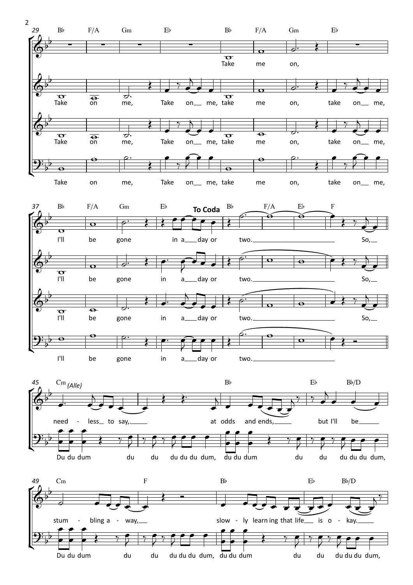





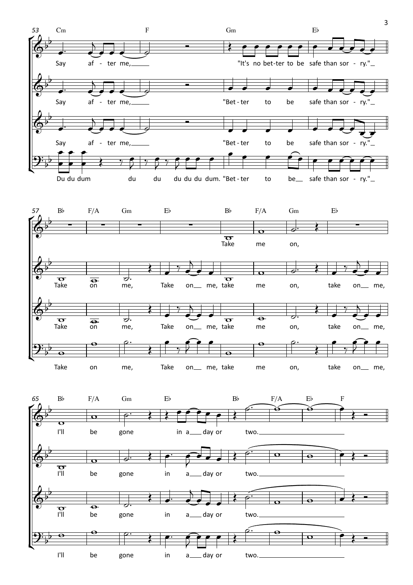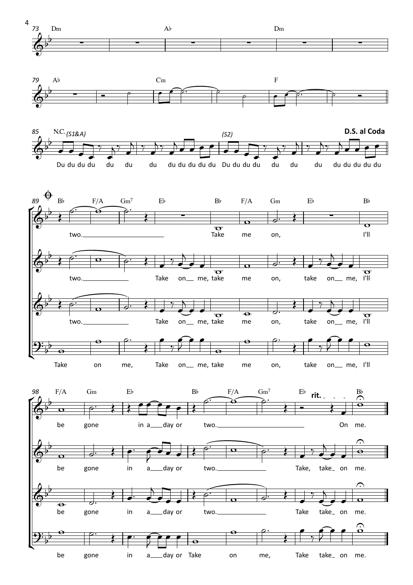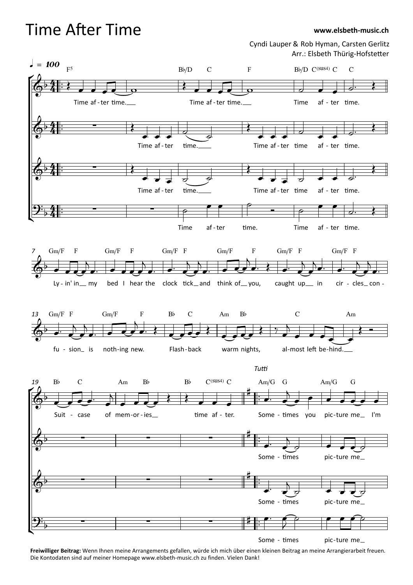# **Time After Time**

### www.elsbeth-music.ch

Cyndi Lauper & Rob Hyman, Carsten Gerlitz Arr.: Elsbeth Thürig-Hofstetter



Freiwilliger Beitrag: Wenn Ihnen meine Arrangements gefallen, würde ich mich über einen kleinen Beitrag an meine Arrangierarbeit freuen. Die Kontodaten sind auf meiner Homepage www.elsbeth-music.ch zu finden. Vielen Dank!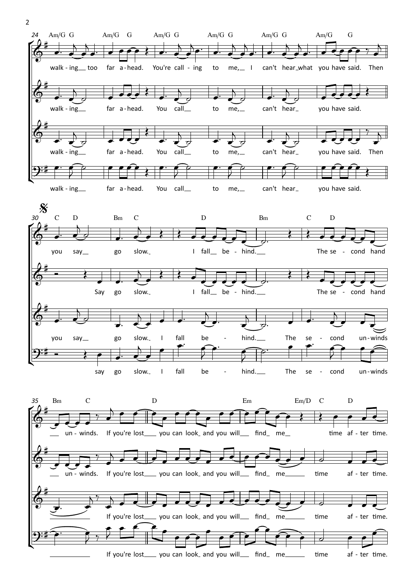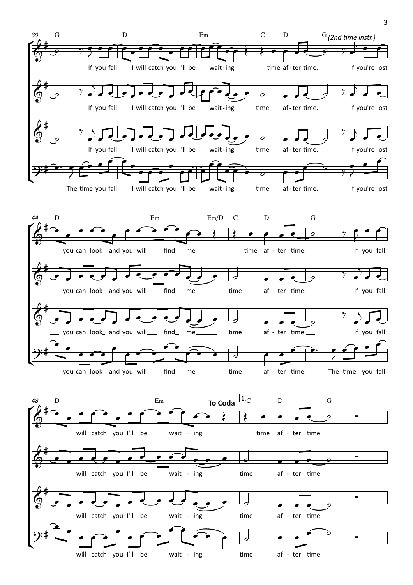

3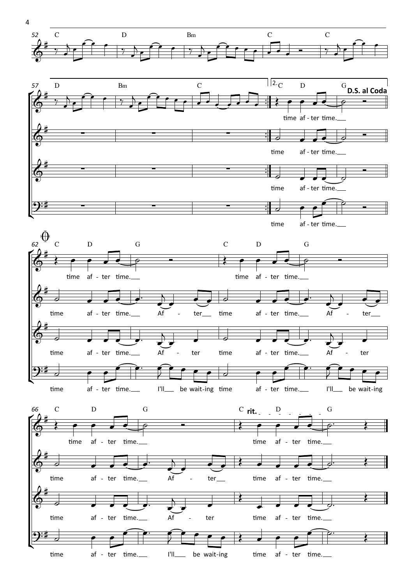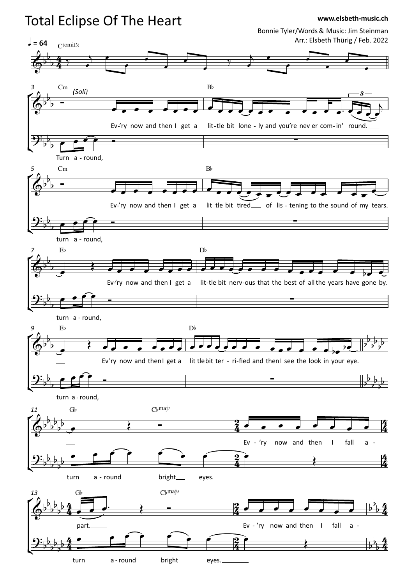*3*

*9*

*11*

*13*

 $\frac{1}{4}$ 

 $\frac{1}{4}$ 

 $\frac{1}{4}$  $\frac{4}{4}$ 

 $\frac{4}{24}$ 

 $\frac{4}{2}$ 

 $\frac{1}{4}$  $\frac{4}{4}$ 

2年

 $\frac{1}{2}$  $\overline{z}$ 

 $\overline{\phantom{0}}$ 

 $\frac{1}{2}$  $\overline{E}$ 

2年

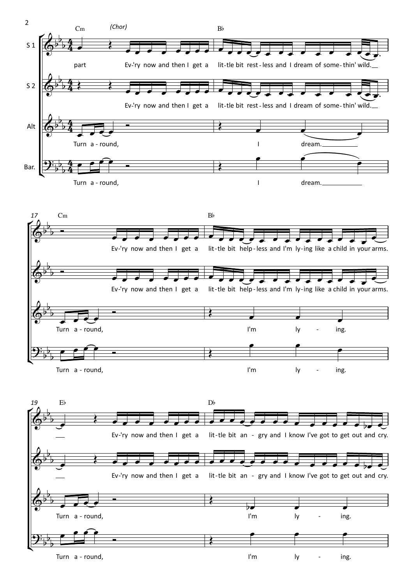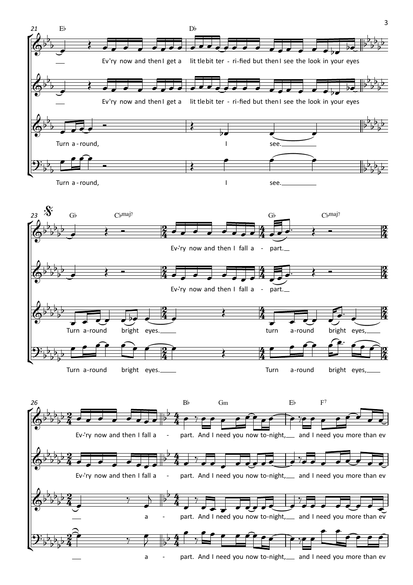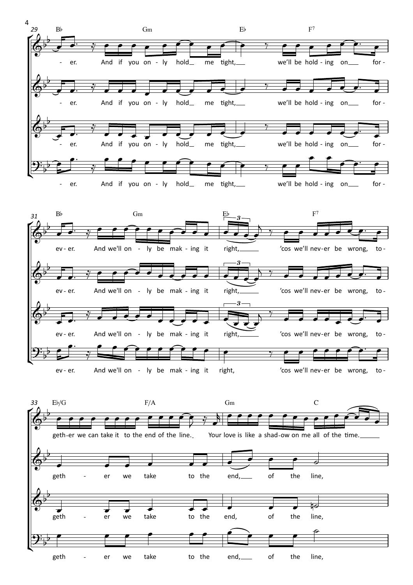

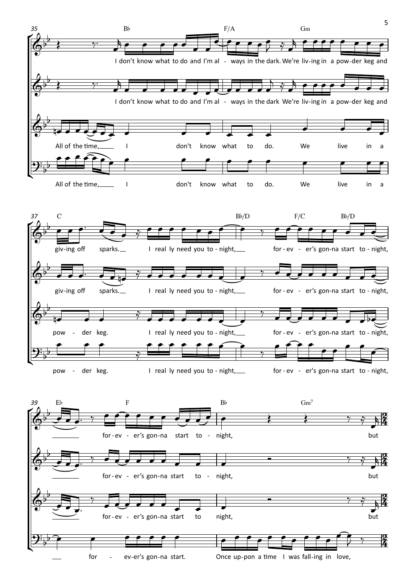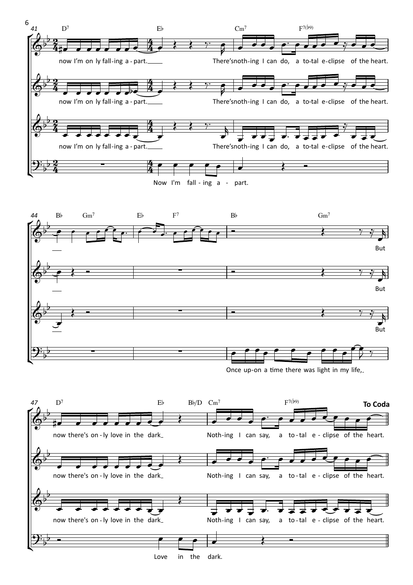

Love in the dark.